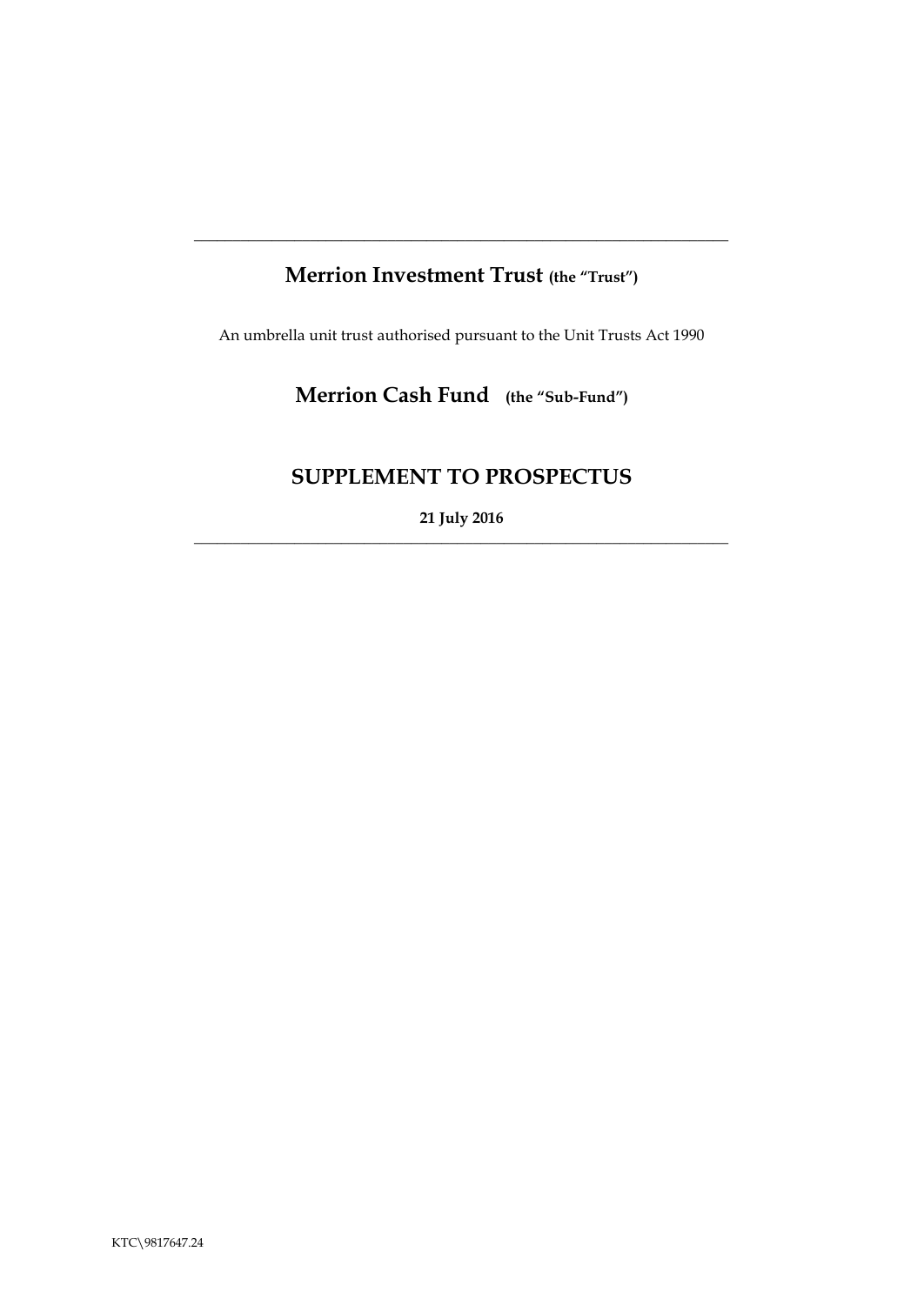# **Merrion Investment Trust (the "Trust")**

**\_\_\_\_\_\_\_\_\_\_\_\_\_\_\_\_\_\_\_\_\_\_\_\_\_\_\_\_\_\_\_\_\_\_\_\_\_\_\_\_\_\_\_\_\_\_\_\_\_\_\_\_\_\_\_\_\_\_\_\_\_\_\_\_\_\_\_\_\_**

An umbrella unit trust authorised pursuant to the Unit Trusts Act 1990

# **Merrion Cash Fund (the "Sub-Fund")**

# **SUPPLEMENT TO PROSPECTUS**

**21 July 2016** \_\_\_\_\_\_\_\_\_\_\_\_\_\_\_\_\_\_\_\_\_\_\_\_\_\_\_\_\_\_\_\_\_\_\_\_\_\_\_\_\_\_\_\_\_\_\_\_\_\_\_\_\_\_\_\_\_\_\_\_\_\_\_\_\_\_\_\_\_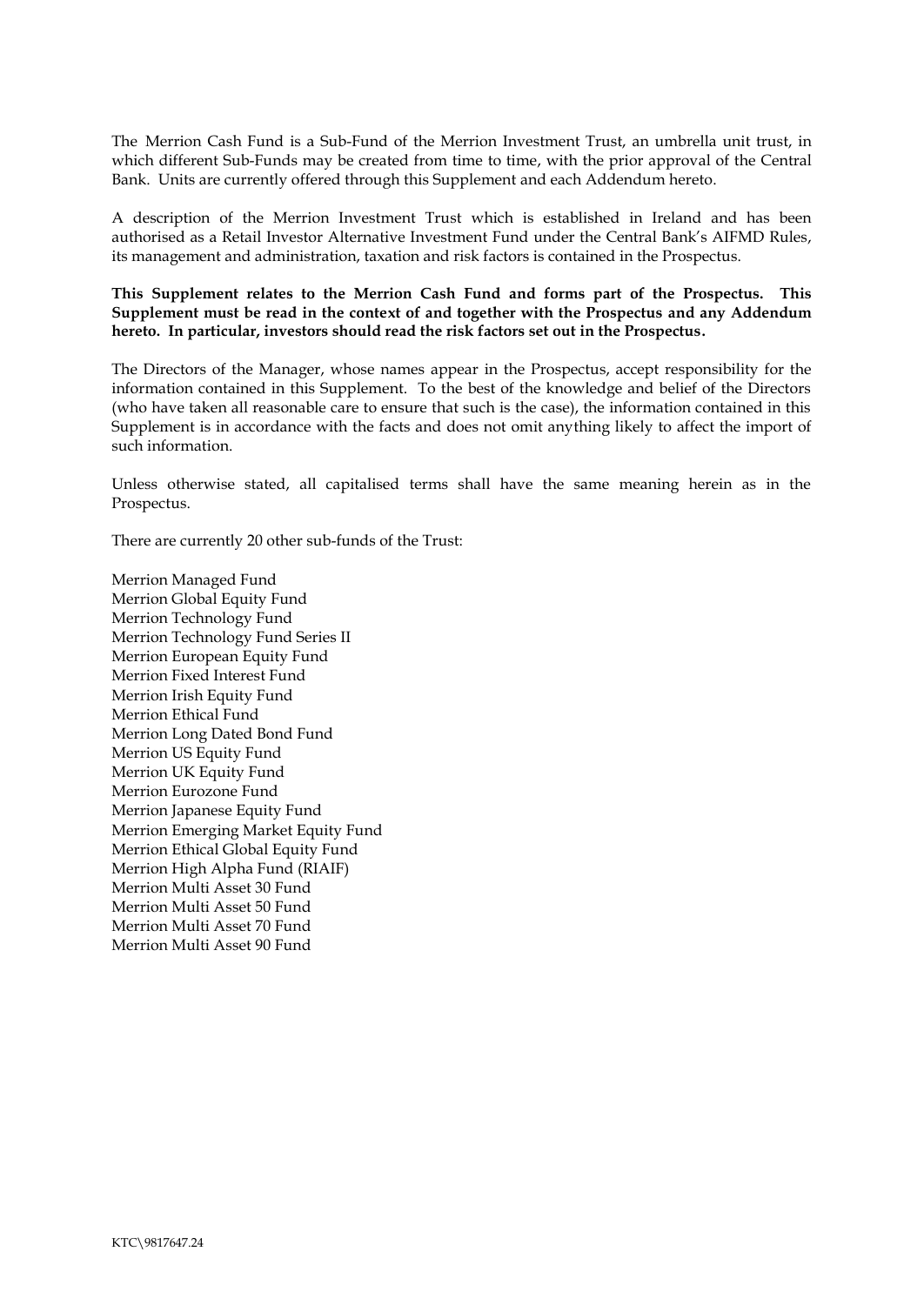The Merrion Cash Fund is a Sub-Fund of the Merrion Investment Trust, an umbrella unit trust, in which different Sub-Funds may be created from time to time, with the prior approval of the Central Bank. Units are currently offered through this Supplement and each Addendum hereto.

A description of the Merrion Investment Trust which is established in Ireland and has been authorised as a Retail Investor Alternative Investment Fund under the Central Bank's AIFMD Rules, its management and administration, taxation and risk factors is contained in the Prospectus.

**This Supplement relates to the Merrion Cash Fund and forms part of the Prospectus. This Supplement must be read in the context of and together with the Prospectus and any Addendum hereto. In particular, investors should read the risk factors set out in the Prospectus.**

The Directors of the Manager, whose names appear in the Prospectus, accept responsibility for the information contained in this Supplement. To the best of the knowledge and belief of the Directors (who have taken all reasonable care to ensure that such is the case), the information contained in this Supplement is in accordance with the facts and does not omit anything likely to affect the import of such information.

Unless otherwise stated, all capitalised terms shall have the same meaning herein as in the Prospectus.

There are currently 20 other sub-funds of the Trust:

Merrion Managed Fund Merrion Global Equity Fund Merrion Technology Fund Merrion Technology Fund Series II Merrion European Equity Fund Merrion Fixed Interest Fund Merrion Irish Equity Fund Merrion Ethical Fund Merrion Long Dated Bond Fund Merrion US Equity Fund Merrion UK Equity Fund Merrion Eurozone Fund Merrion Japanese Equity Fund Merrion Emerging Market Equity Fund Merrion Ethical Global Equity Fund Merrion High Alpha Fund (RIAIF) Merrion Multi Asset 30 Fund Merrion Multi Asset 50 Fund Merrion Multi Asset 70 Fund Merrion Multi Asset 90 Fund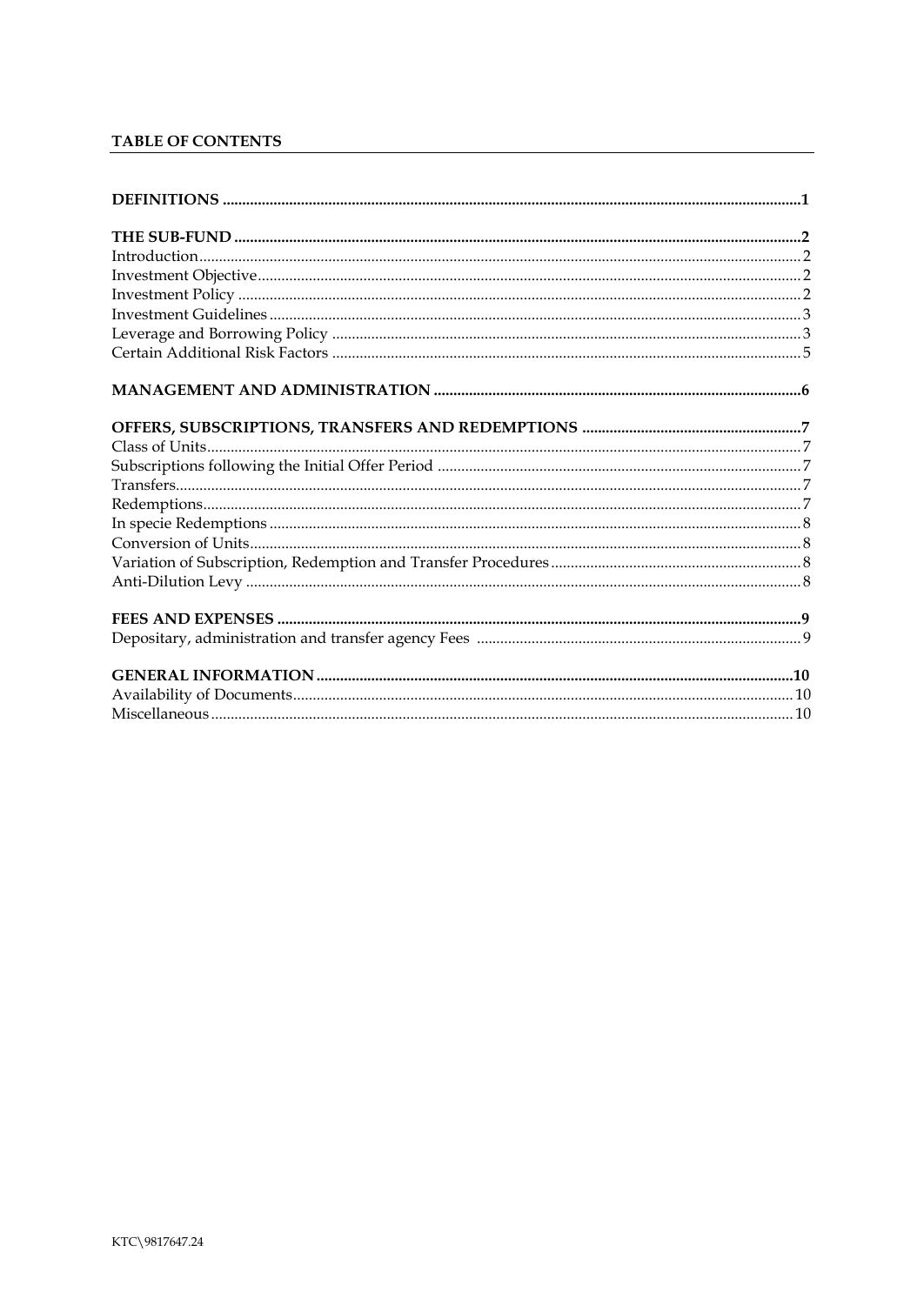### TABLE OF CONTENTS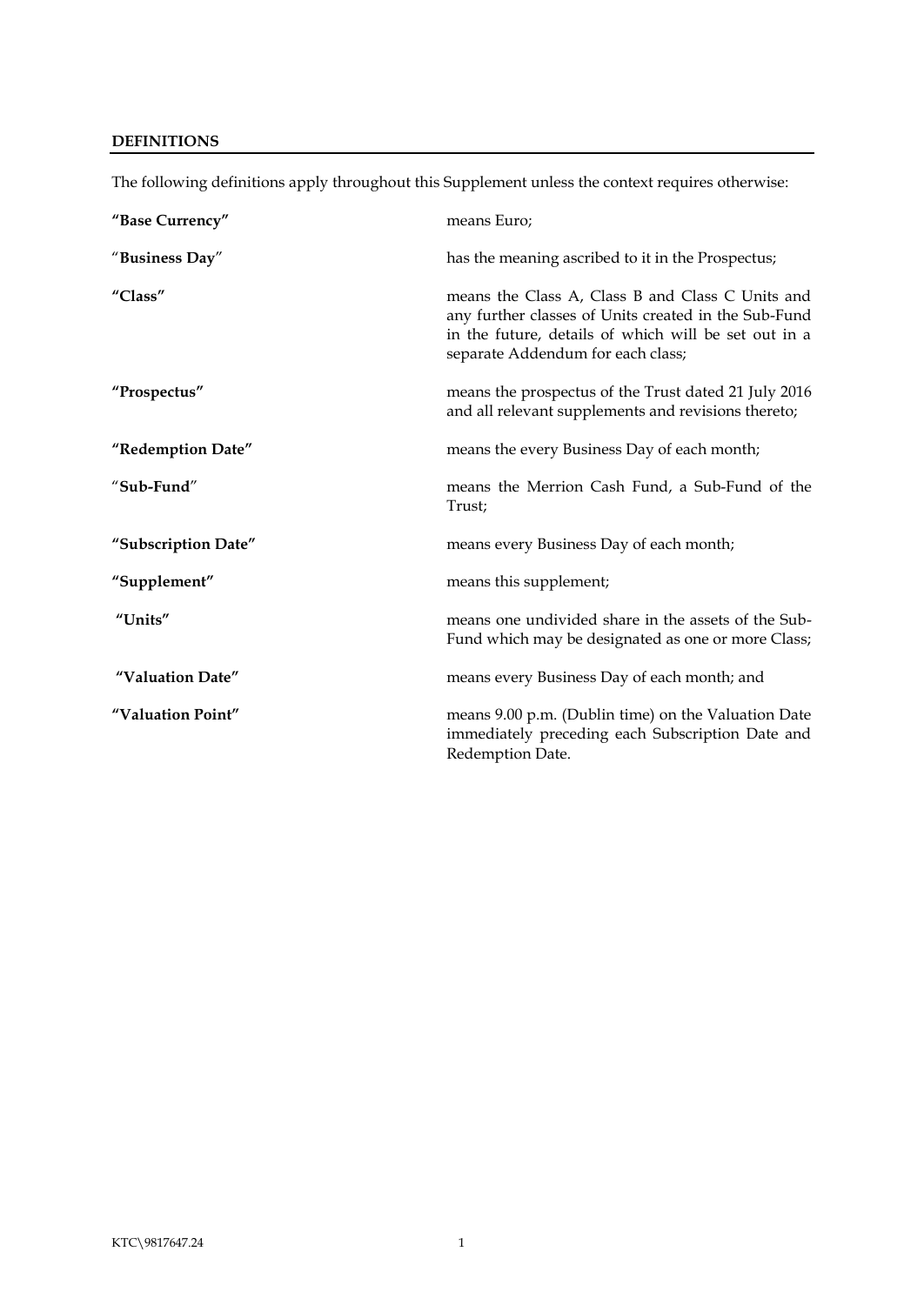### <span id="page-3-0"></span>**DEFINITIONS**

| "Base Currency"     | means Euro;                                                                                                                                                                                           |
|---------------------|-------------------------------------------------------------------------------------------------------------------------------------------------------------------------------------------------------|
| "Business Day"      | has the meaning ascribed to it in the Prospectus;                                                                                                                                                     |
| "Class"             | means the Class A, Class B and Class C Units and<br>any further classes of Units created in the Sub-Fund<br>in the future, details of which will be set out in a<br>separate Addendum for each class; |
| "Prospectus"        | means the prospectus of the Trust dated 21 July 2016<br>and all relevant supplements and revisions thereto;                                                                                           |
| "Redemption Date"   | means the every Business Day of each month;                                                                                                                                                           |
| "Sub-Fund"          | means the Merrion Cash Fund, a Sub-Fund of the<br>Trust;                                                                                                                                              |
| "Subscription Date" | means every Business Day of each month;                                                                                                                                                               |
| "Supplement"        | means this supplement;                                                                                                                                                                                |
| "Units"             | means one undivided share in the assets of the Sub-<br>Fund which may be designated as one or more Class;                                                                                             |
| "Valuation Date"    | means every Business Day of each month; and                                                                                                                                                           |
| "Valuation Point"   | means 9.00 p.m. (Dublin time) on the Valuation Date<br>immediately preceding each Subscription Date and<br>Redemption Date.                                                                           |

The following definitions apply throughout this Supplement unless the context requires otherwise: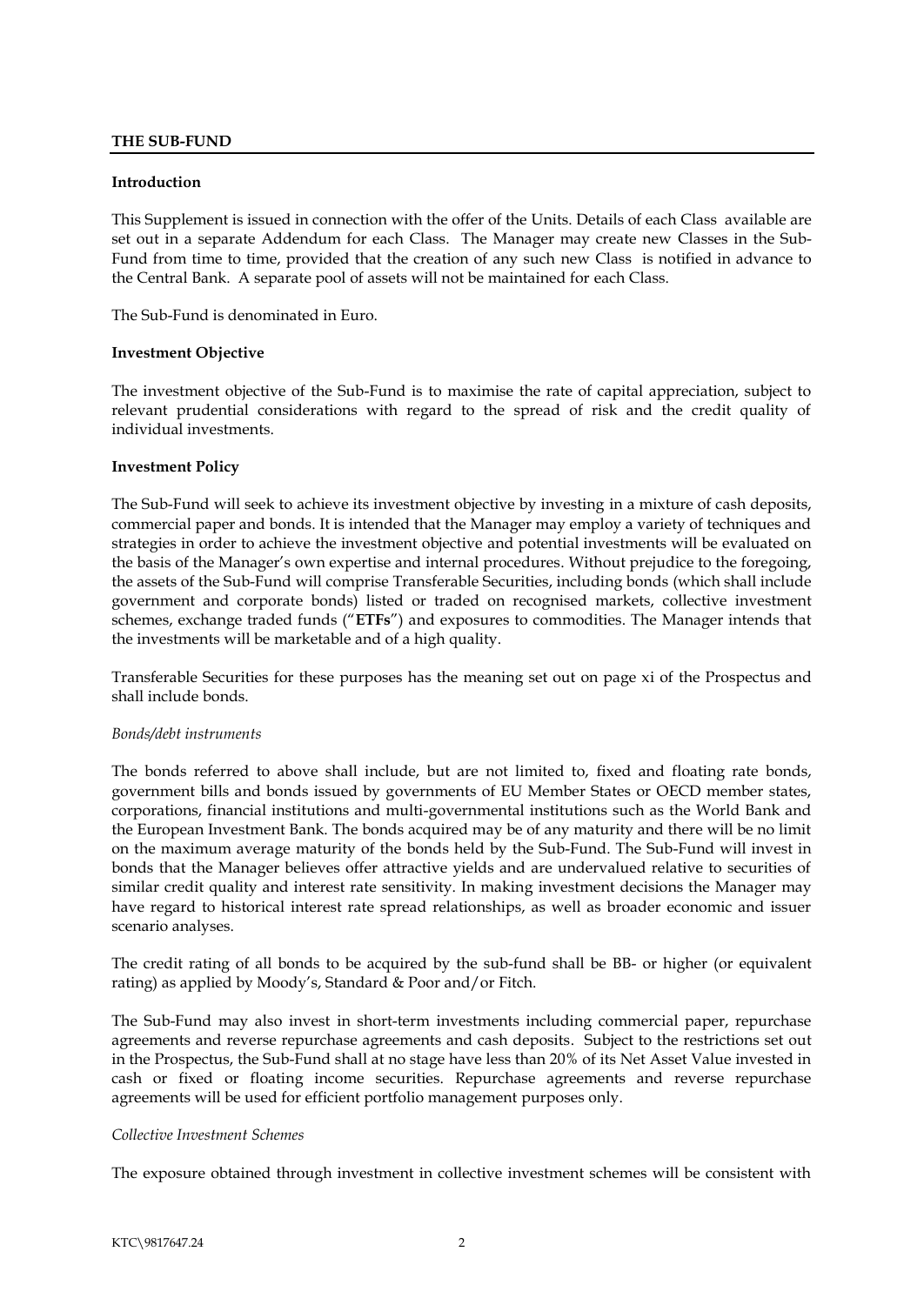#### <span id="page-4-0"></span>**THE SUB-FUND**

#### <span id="page-4-1"></span>**Introduction**

This Supplement is issued in connection with the offer of the Units. Details of each Class available are set out in a separate Addendum for each Class. The Manager may create new Classes in the Sub-Fund from time to time, provided that the creation of any such new Class is notified in advance to the Central Bank. A separate pool of assets will not be maintained for each Class.

The Sub-Fund is denominated in Euro.

#### <span id="page-4-2"></span>**Investment Objective**

The investment objective of the Sub-Fund is to maximise the rate of capital appreciation, subject to relevant prudential considerations with regard to the spread of risk and the credit quality of individual investments.

#### <span id="page-4-3"></span>**Investment Policy**

The Sub-Fund will seek to achieve its investment objective by investing in a mixture of cash deposits, commercial paper and bonds. It is intended that the Manager may employ a variety of techniques and strategies in order to achieve the investment objective and potential investments will be evaluated on the basis of the Manager's own expertise and internal procedures. Without prejudice to the foregoing, the assets of the Sub-Fund will comprise Transferable Securities, including bonds (which shall include government and corporate bonds) listed or traded on recognised markets, collective investment schemes, exchange traded funds ("**ETFs**") and exposures to commodities. The Manager intends that the investments will be marketable and of a high quality.

Transferable Securities for these purposes has the meaning set out on page xi of the Prospectus and shall include bonds.

#### *Bonds/debt instruments*

The bonds referred to above shall include, but are not limited to, fixed and floating rate bonds, government bills and bonds issued by governments of EU Member States or OECD member states, corporations, financial institutions and multi-governmental institutions such as the World Bank and the European Investment Bank. The bonds acquired may be of any maturity and there will be no limit on the maximum average maturity of the bonds held by the Sub-Fund. The Sub-Fund will invest in bonds that the Manager believes offer attractive yields and are undervalued relative to securities of similar credit quality and interest rate sensitivity. In making investment decisions the Manager may have regard to historical interest rate spread relationships, as well as broader economic and issuer scenario analyses.

The credit rating of all bonds to be acquired by the sub-fund shall be BB- or higher (or equivalent rating) as applied by Moody's, Standard & Poor and/or Fitch.

The Sub-Fund may also invest in short-term investments including commercial paper, repurchase agreements and reverse repurchase agreements and cash deposits. Subject to the restrictions set out in the Prospectus, the Sub-Fund shall at no stage have less than 20% of its Net Asset Value invested in cash or fixed or floating income securities. Repurchase agreements and reverse repurchase agreements will be used for efficient portfolio management purposes only.

#### *Collective Investment Schemes*

The exposure obtained through investment in collective investment schemes will be consistent with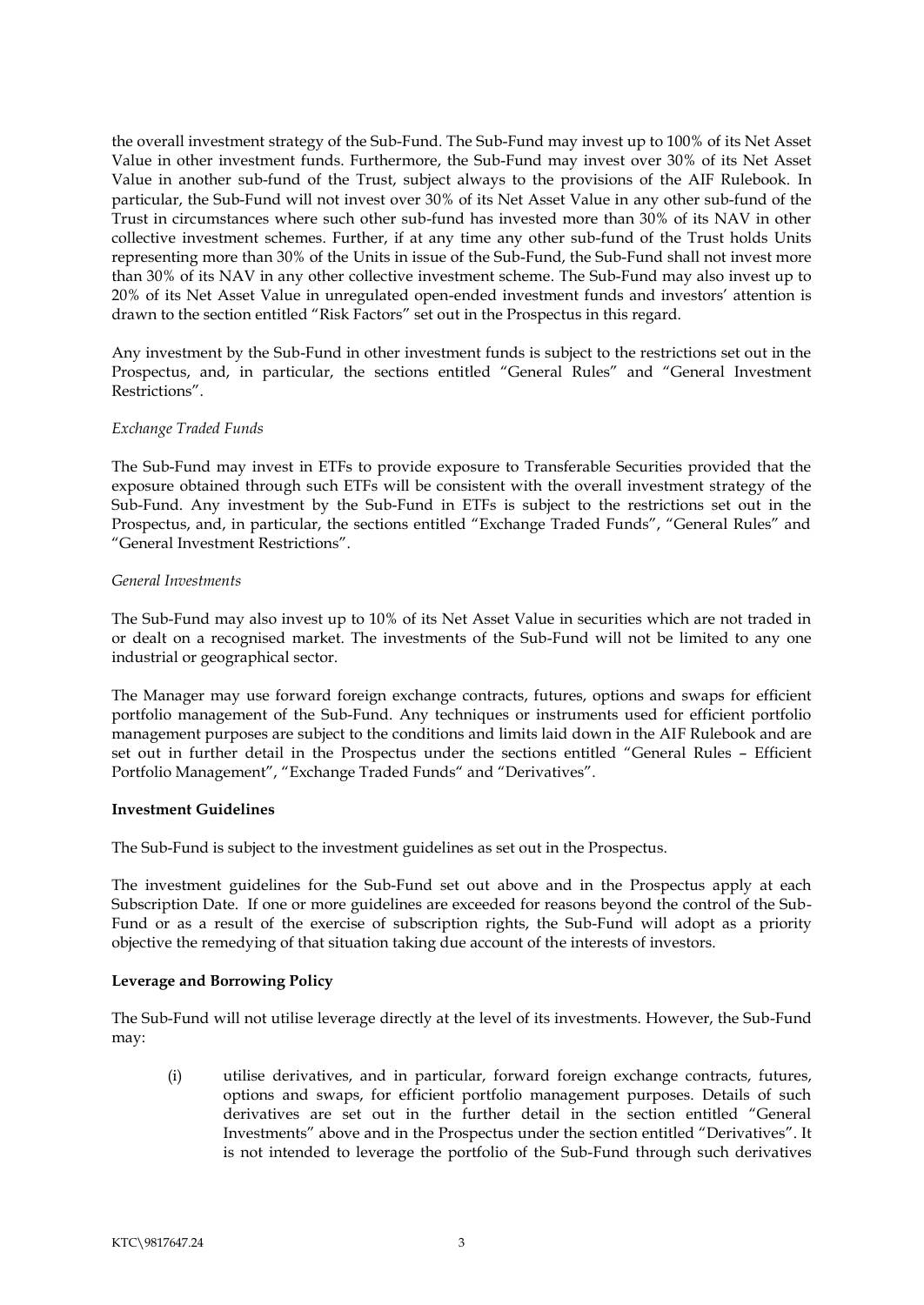the overall investment strategy of the Sub-Fund. The Sub-Fund may invest up to 100% of its Net Asset Value in other investment funds. Furthermore, the Sub-Fund may invest over 30% of its Net Asset Value in another sub-fund of the Trust, subject always to the provisions of the AIF Rulebook. In particular, the Sub-Fund will not invest over 30% of its Net Asset Value in any other sub-fund of the Trust in circumstances where such other sub-fund has invested more than 30% of its NAV in other collective investment schemes. Further, if at any time any other sub-fund of the Trust holds Units representing more than 30% of the Units in issue of the Sub-Fund, the Sub-Fund shall not invest more than 30% of its NAV in any other collective investment scheme. The Sub-Fund may also invest up to 20% of its Net Asset Value in unregulated open-ended investment funds and investors' attention is drawn to the section entitled "Risk Factors" set out in the Prospectus in this regard.

Any investment by the Sub-Fund in other investment funds is subject to the restrictions set out in the Prospectus, and, in particular, the sections entitled "General Rules" and "General Investment Restrictions".

#### *Exchange Traded Funds*

The Sub-Fund may invest in ETFs to provide exposure to Transferable Securities provided that the exposure obtained through such ETFs will be consistent with the overall investment strategy of the Sub-Fund. Any investment by the Sub-Fund in ETFs is subject to the restrictions set out in the Prospectus, and, in particular, the sections entitled "Exchange Traded Funds", "General Rules" and "General Investment Restrictions".

#### *General Investments*

The Sub-Fund may also invest up to 10% of its Net Asset Value in securities which are not traded in or dealt on a recognised market. The investments of the Sub-Fund will not be limited to any one industrial or geographical sector.

The Manager may use forward foreign exchange contracts, futures, options and swaps for efficient portfolio management of the Sub-Fund. Any techniques or instruments used for efficient portfolio management purposes are subject to the conditions and limits laid down in the AIF Rulebook and are set out in further detail in the Prospectus under the sections entitled "General Rules – Efficient Portfolio Management", "Exchange Traded Funds" and "Derivatives".

#### <span id="page-5-0"></span>**Investment Guidelines**

The Sub-Fund is subject to the investment guidelines as set out in the Prospectus.

The investment guidelines for the Sub-Fund set out above and in the Prospectus apply at each Subscription Date. If one or more guidelines are exceeded for reasons beyond the control of the Sub-Fund or as a result of the exercise of subscription rights, the Sub-Fund will adopt as a priority objective the remedying of that situation taking due account of the interests of investors.

#### **Leverage and Borrowing Policy**

The Sub-Fund will not utilise leverage directly at the level of its investments. However, the Sub-Fund may:

<span id="page-5-1"></span>(i) utilise derivatives, and in particular, forward foreign exchange contracts, futures, options and swaps, for efficient portfolio management purposes. Details of such derivatives are set out in the further detail in the section entitled "General Investments" above and in the Prospectus under the section entitled "Derivatives". It is not intended to leverage the portfolio of the Sub-Fund through such derivatives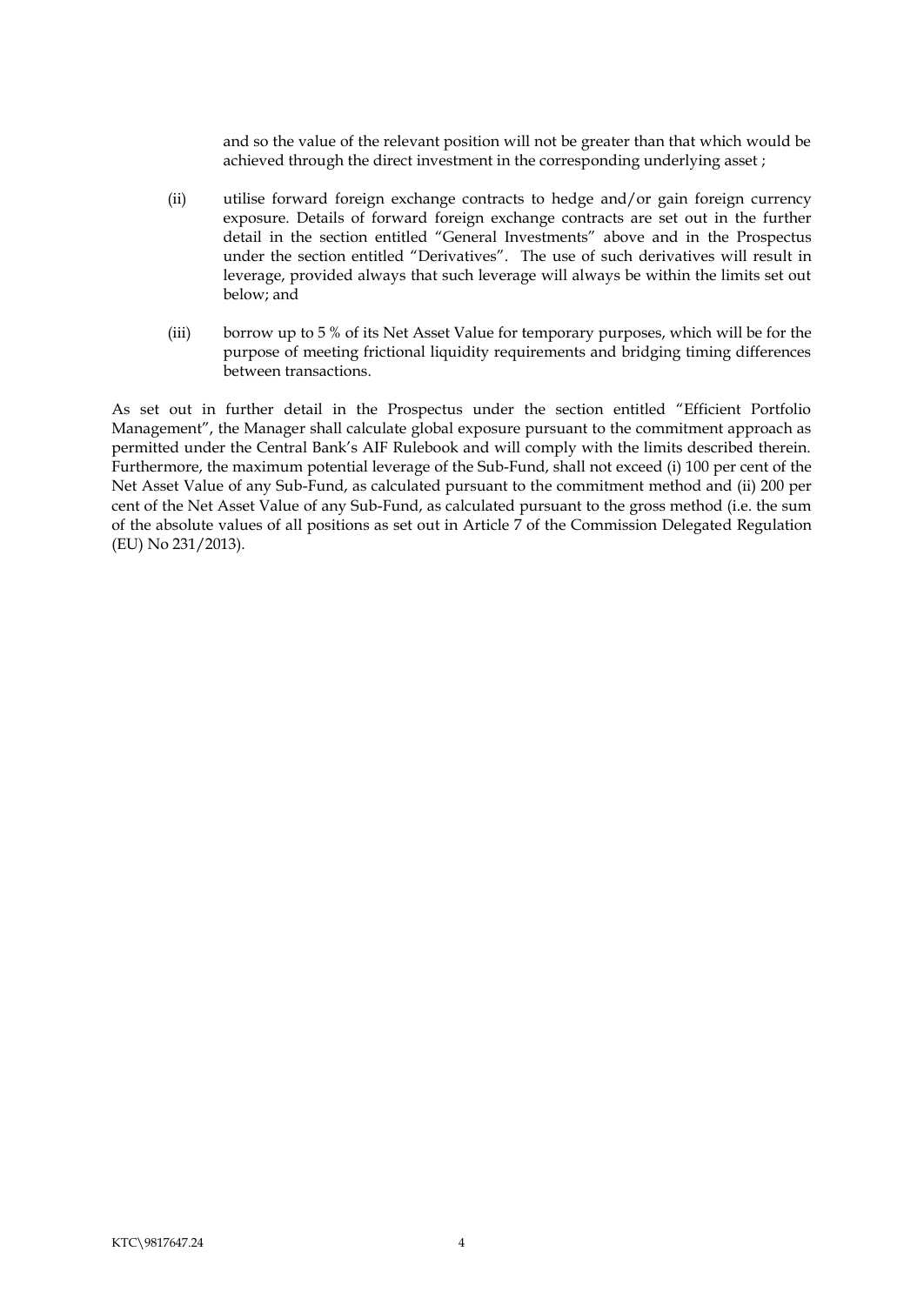and so the value of the relevant position will not be greater than that which would be achieved through the direct investment in the corresponding underlying asset ;

- (ii) utilise forward foreign exchange contracts to hedge and/or gain foreign currency exposure. Details of forward foreign exchange contracts are set out in the further detail in the section entitled "General Investments" above and in the Prospectus under the section entitled "Derivatives". The use of such derivatives will result in leverage, provided always that such leverage will always be within the limits set out below; and
- (iii) borrow up to 5 % of its Net Asset Value for temporary purposes, which will be for the purpose of meeting frictional liquidity requirements and bridging timing differences between transactions.

As set out in further detail in the Prospectus under the section entitled "Efficient Portfolio Management", the Manager shall calculate global exposure pursuant to the commitment approach as permitted under the Central Bank's AIF Rulebook and will comply with the limits described therein. Furthermore, the maximum potential leverage of the Sub-Fund, shall not exceed (i) 100 per cent of the Net Asset Value of any Sub-Fund, as calculated pursuant to the commitment method and (ii) 200 per cent of the Net Asset Value of any Sub-Fund, as calculated pursuant to the gross method (i.e. the sum of the absolute values of all positions as set out in Article 7 of the Commission Delegated Regulation (EU) No 231/2013).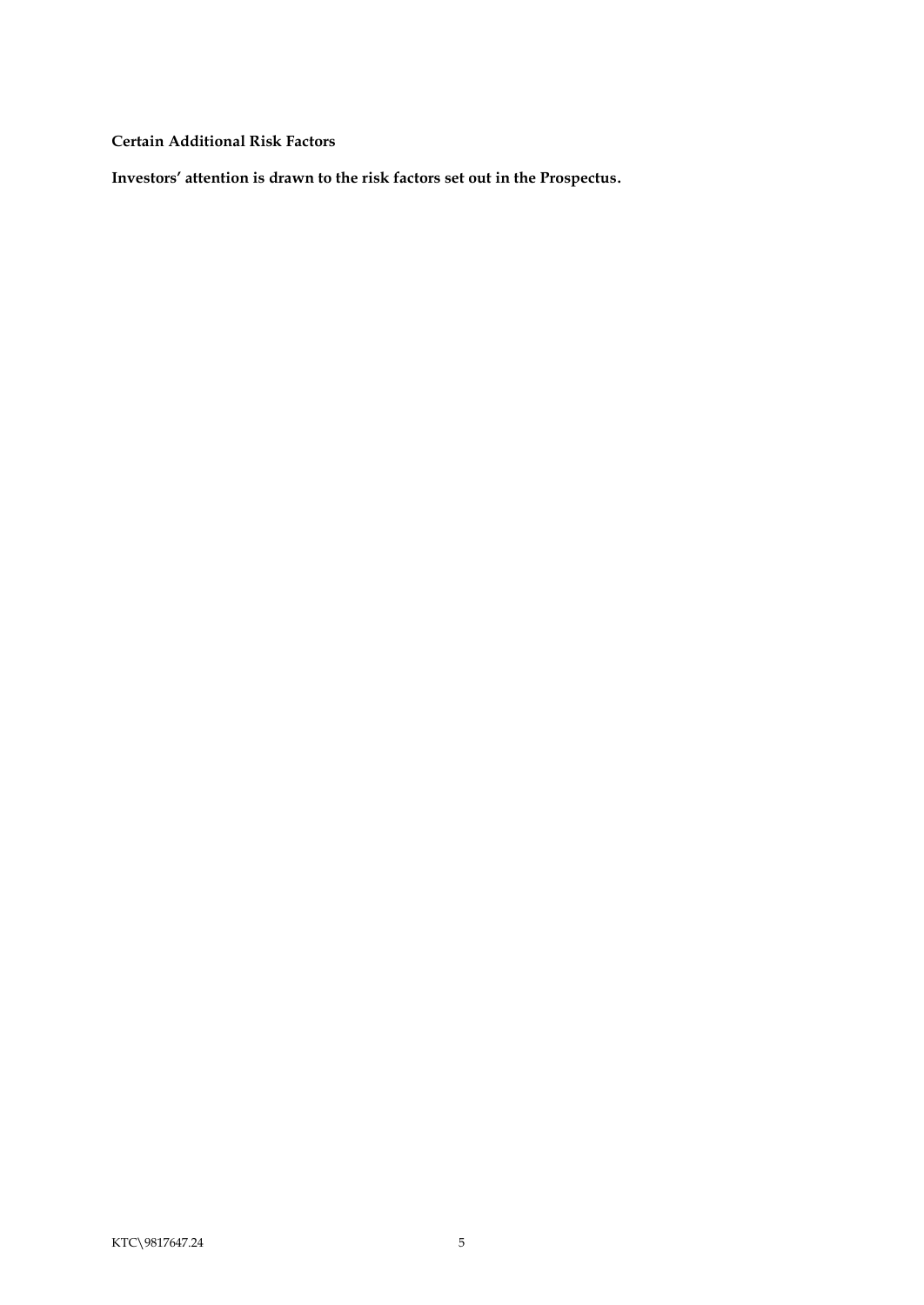<span id="page-7-0"></span>**Certain Additional Risk Factors**

**Investors' attention is drawn to the risk factors set out in the Prospectus.**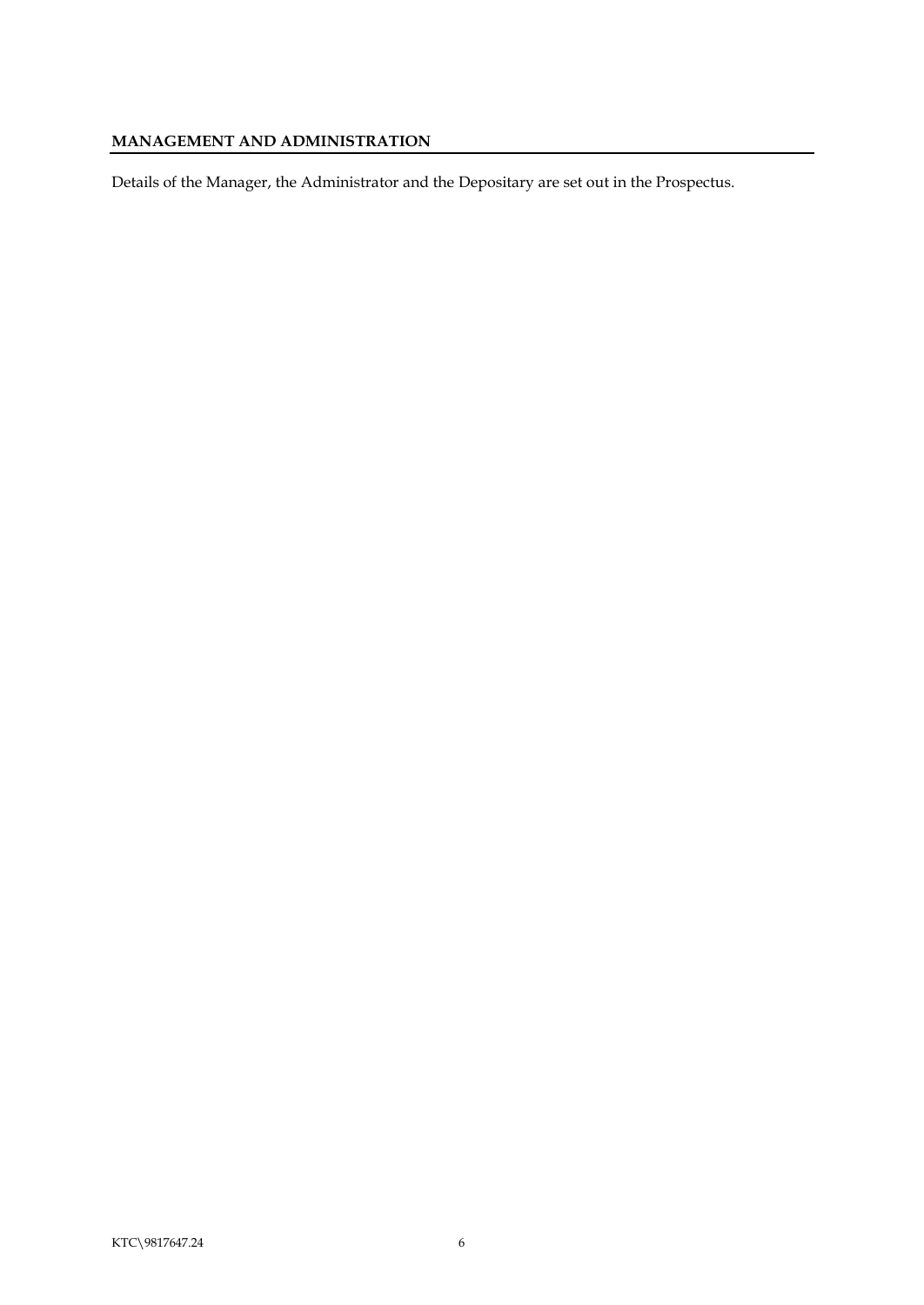## <span id="page-8-0"></span>**MANAGEMENT AND ADMINISTRATION**

Details of the Manager, the Administrator and the Depositary are set out in the Prospectus.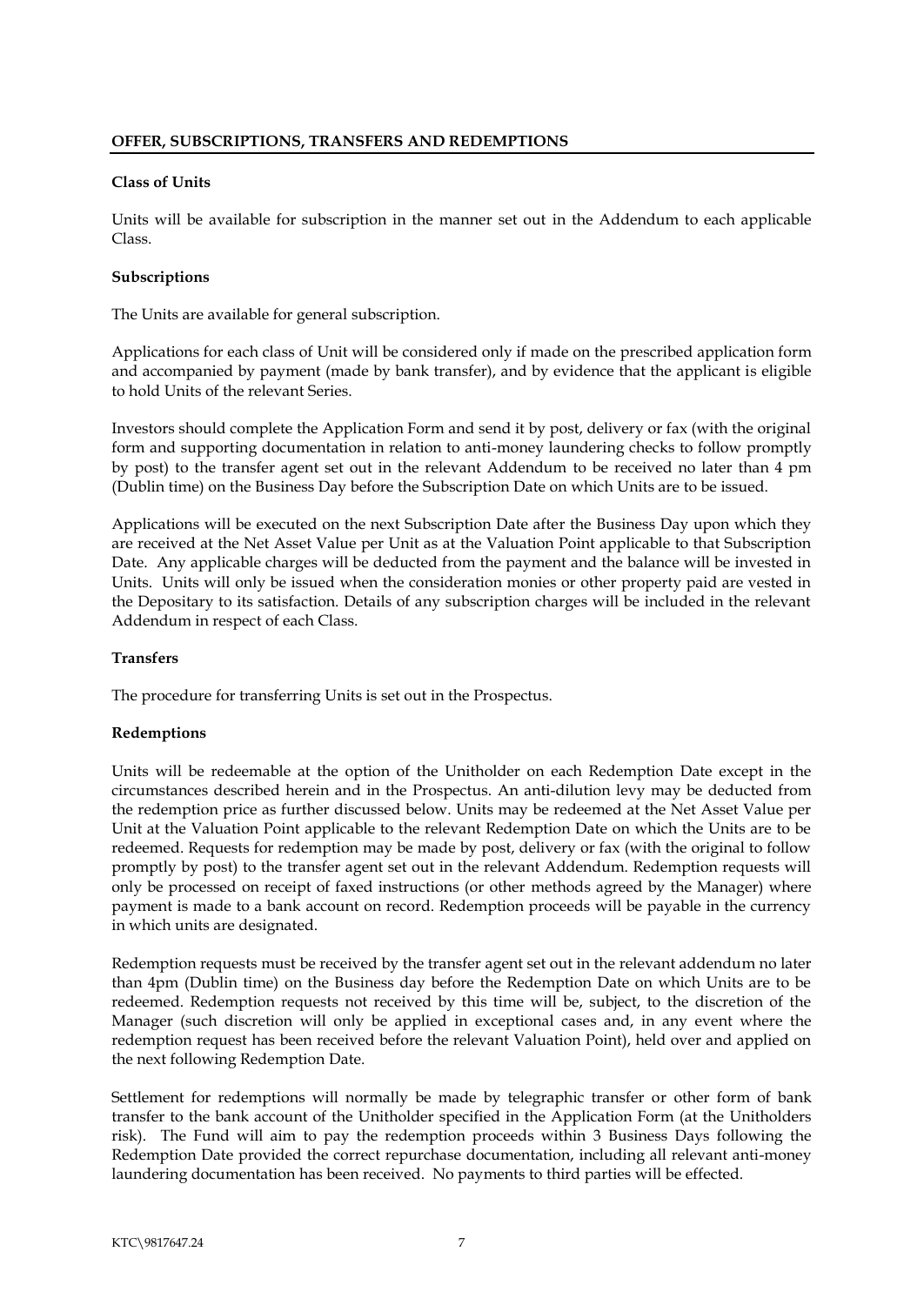#### <span id="page-9-1"></span><span id="page-9-0"></span>**Class of Units**

Units will be available for subscription in the manner set out in the Addendum to each applicable Class.

#### <span id="page-9-2"></span>**Subscriptions**

The Units are available for general subscription.

Applications for each class of Unit will be considered only if made on the prescribed application form and accompanied by payment (made by bank transfer), and by evidence that the applicant is eligible to hold Units of the relevant Series.

Investors should complete the Application Form and send it by post, delivery or fax (with the original form and supporting documentation in relation to anti-money laundering checks to follow promptly by post) to the transfer agent set out in the relevant Addendum to be received no later than 4 pm (Dublin time) on the Business Day before the Subscription Date on which Units are to be issued.

Applications will be executed on the next Subscription Date after the Business Day upon which they are received at the Net Asset Value per Unit as at the Valuation Point applicable to that Subscription Date. Any applicable charges will be deducted from the payment and the balance will be invested in Units. Units will only be issued when the consideration monies or other property paid are vested in the Depositary to its satisfaction. Details of any subscription charges will be included in the relevant Addendum in respect of each Class.

#### <span id="page-9-3"></span>**Transfers**

The procedure for transferring Units is set out in the Prospectus.

#### <span id="page-9-4"></span>**Redemptions**

Units will be redeemable at the option of the Unitholder on each Redemption Date except in the circumstances described herein and in the Prospectus. An anti-dilution levy may be deducted from the redemption price as further discussed below. Units may be redeemed at the Net Asset Value per Unit at the Valuation Point applicable to the relevant Redemption Date on which the Units are to be redeemed. Requests for redemption may be made by post, delivery or fax (with the original to follow promptly by post) to the transfer agent set out in the relevant Addendum. Redemption requests will only be processed on receipt of faxed instructions (or other methods agreed by the Manager) where payment is made to a bank account on record. Redemption proceeds will be payable in the currency in which units are designated.

Redemption requests must be received by the transfer agent set out in the relevant addendum no later than 4pm (Dublin time) on the Business day before the Redemption Date on which Units are to be redeemed. Redemption requests not received by this time will be, subject, to the discretion of the Manager (such discretion will only be applied in exceptional cases and, in any event where the redemption request has been received before the relevant Valuation Point), held over and applied on the next following Redemption Date.

Settlement for redemptions will normally be made by telegraphic transfer or other form of bank transfer to the bank account of the Unitholder specified in the Application Form (at the Unitholders risk). The Fund will aim to pay the redemption proceeds within 3 Business Days following the Redemption Date provided the correct repurchase documentation, including all relevant anti-money laundering documentation has been received. No payments to third parties will be effected.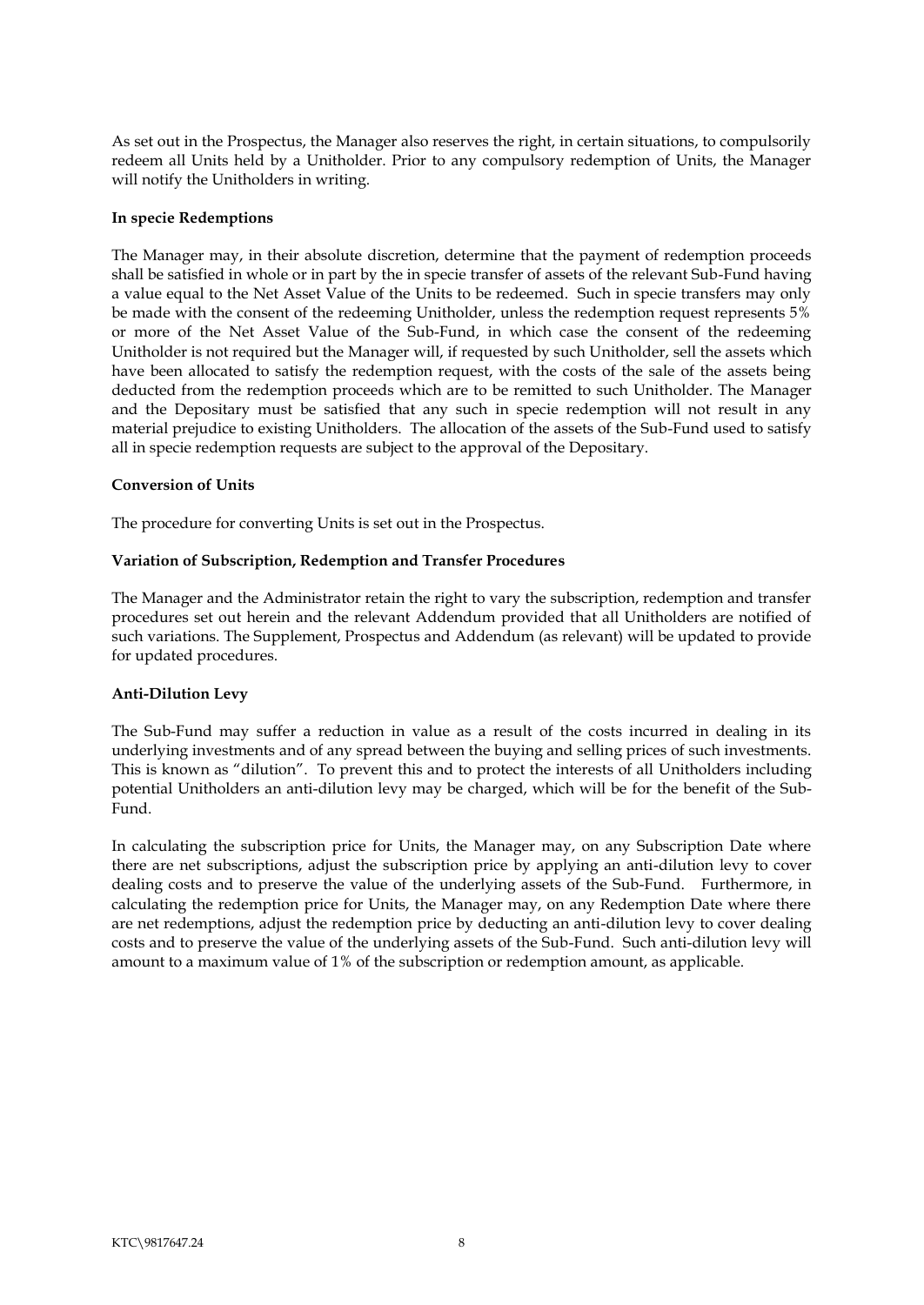As set out in the Prospectus, the Manager also reserves the right, in certain situations, to compulsorily redeem all Units held by a Unitholder. Prior to any compulsory redemption of Units, the Manager will notify the Unitholders in writing.

#### <span id="page-10-0"></span>**In specie Redemptions**

The Manager may, in their absolute discretion, determine that the payment of redemption proceeds shall be satisfied in whole or in part by the in specie transfer of assets of the relevant Sub-Fund having a value equal to the Net Asset Value of the Units to be redeemed. Such in specie transfers may only be made with the consent of the redeeming Unitholder, unless the redemption request represents 5% or more of the Net Asset Value of the Sub-Fund, in which case the consent of the redeeming Unitholder is not required but the Manager will, if requested by such Unitholder, sell the assets which have been allocated to satisfy the redemption request, with the costs of the sale of the assets being deducted from the redemption proceeds which are to be remitted to such Unitholder. The Manager and the Depositary must be satisfied that any such in specie redemption will not result in any material prejudice to existing Unitholders. The allocation of the assets of the Sub-Fund used to satisfy all in specie redemption requests are subject to the approval of the Depositary.

#### <span id="page-10-1"></span>**Conversion of Units**

The procedure for converting Units is set out in the Prospectus.

#### <span id="page-10-2"></span>**Variation of Subscription, Redemption and Transfer Procedures**

The Manager and the Administrator retain the right to vary the subscription, redemption and transfer procedures set out herein and the relevant Addendum provided that all Unitholders are notified of such variations. The Supplement, Prospectus and Addendum (as relevant) will be updated to provide for updated procedures.

#### <span id="page-10-3"></span>**Anti-Dilution Levy**

The Sub-Fund may suffer a reduction in value as a result of the costs incurred in dealing in its underlying investments and of any spread between the buying and selling prices of such investments. This is known as "dilution". To prevent this and to protect the interests of all Unitholders including potential Unitholders an anti-dilution levy may be charged, which will be for the benefit of the Sub-Fund.

In calculating the subscription price for Units, the Manager may, on any Subscription Date where there are net subscriptions, adjust the subscription price by applying an anti-dilution levy to cover dealing costs and to preserve the value of the underlying assets of the Sub-Fund. Furthermore, in calculating the redemption price for Units, the Manager may, on any Redemption Date where there are net redemptions, adjust the redemption price by deducting an anti-dilution levy to cover dealing costs and to preserve the value of the underlying assets of the Sub-Fund. Such anti-dilution levy will amount to a maximum value of 1% of the subscription or redemption amount, as applicable.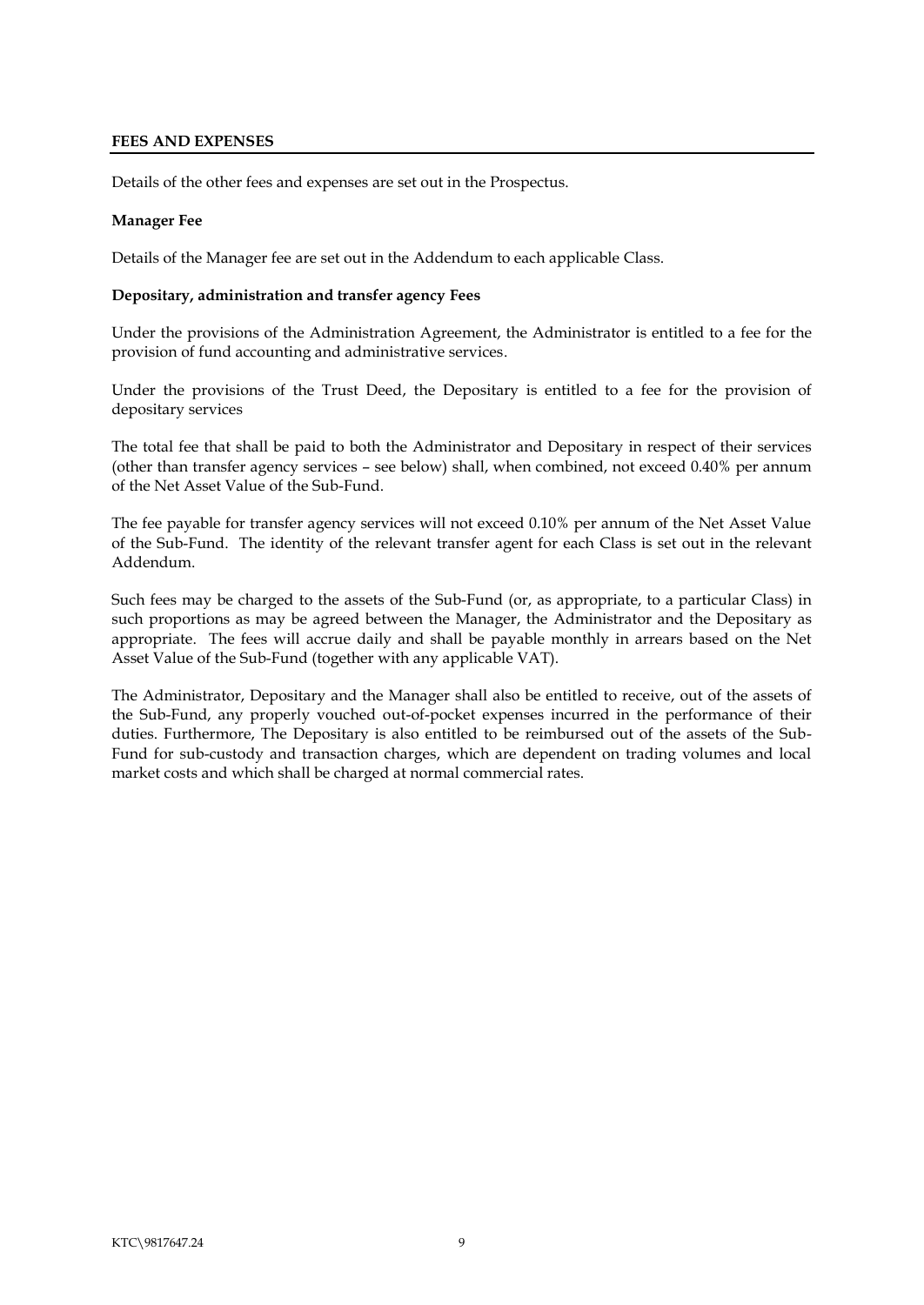#### <span id="page-11-0"></span>**FEES AND EXPENSES**

Details of the other fees and expenses are set out in the Prospectus.

#### **Manager Fee**

Details of the Manager fee are set out in the Addendum to each applicable Class.

#### <span id="page-11-1"></span>**Depositary, administration and transfer agency Fees**

Under the provisions of the Administration Agreement, the Administrator is entitled to a fee for the provision of fund accounting and administrative services.

Under the provisions of the Trust Deed, the Depositary is entitled to a fee for the provision of depositary services

The total fee that shall be paid to both the Administrator and Depositary in respect of their services (other than transfer agency services – see below) shall, when combined, not exceed 0.40% per annum of the Net Asset Value of the Sub-Fund.

The fee payable for transfer agency services will not exceed 0.10% per annum of the Net Asset Value of the Sub-Fund. The identity of the relevant transfer agent for each Class is set out in the relevant Addendum.

Such fees may be charged to the assets of the Sub-Fund (or, as appropriate, to a particular Class) in such proportions as may be agreed between the Manager, the Administrator and the Depositary as appropriate. The fees will accrue daily and shall be payable monthly in arrears based on the Net Asset Value of the Sub-Fund (together with any applicable VAT).

The Administrator, Depositary and the Manager shall also be entitled to receive, out of the assets of the Sub-Fund, any properly vouched out-of-pocket expenses incurred in the performance of their duties. Furthermore, The Depositary is also entitled to be reimbursed out of the assets of the Sub-Fund for sub-custody and transaction charges, which are dependent on trading volumes and local market costs and which shall be charged at normal commercial rates.